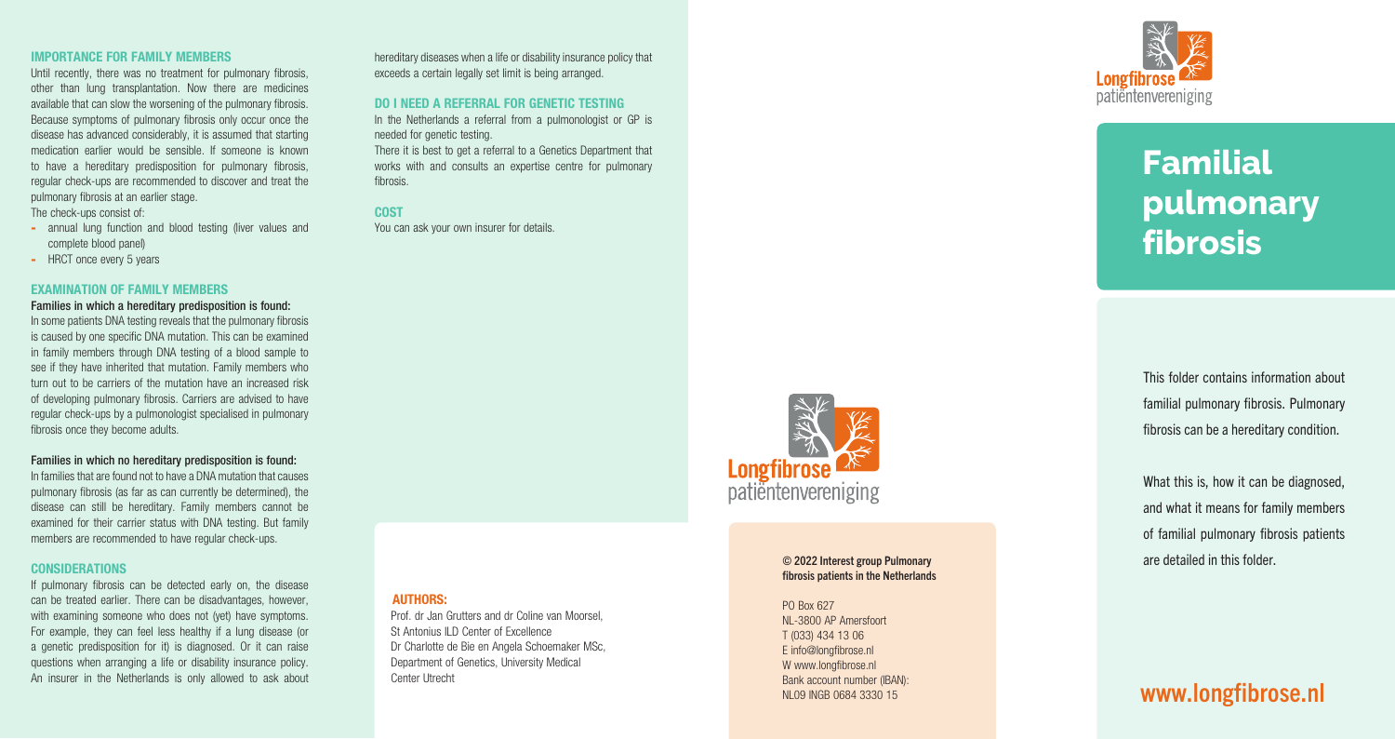### © 2022 Interest group Pulmonary fibrosis patients in the Netherlands

PO Box 627 NL-3800 AP Amersfoort T (033) 434 13 06 E info@longfibrose.nl W www.longfibrose.nl Bank account number (IBAN):



### IMPORTANCE FOR FAMILY MEMBERS

- annual lung function and blood testing (liver values and complete blood panel)
- HRCT once every 5 years

Until recently, there was no treatment for pulmonary fibrosis, other than lung transplantation. Now there are medicines available that can slow the worsening of the pulmonary fibrosis. Because symptoms of pulmonary fibrosis only occur once the disease has advanced considerably, it is assumed that starting medication earlier would be sensible. If someone is known to have a hereditary predisposition for pulmonary fibrosis, regular check-ups are recommended to discover and treat the pulmonary fibrosis at an earlier stage.

The check-ups consist of:

### EXAMINATION OF FAMILY MEMBERS

### Families in which a hereditary predisposition is found:

In some patients DNA testing reveals that the pulmonary fibrosis is caused by one specific DNA mutation. This can be examined in family members through DNA testing of a blood sample to see if they have inherited that mutation. Family members who turn out to be carriers of the mutation have an increased risk of developing pulmonary fibrosis. Carriers are advised to have regular check-ups by a pulmonologist specialised in pulmonary fibrosis once they become adults.

In the Netherlands a referral from a pulmonologist or GP is needed for genetic testing.

#### Families in which no hereditary predisposition is found:

In families that are found not to have a DNA mutation that causes pulmonary fibrosis (as far as can currently be determined), the disease can still be hereditary. Family members cannot be examined for their carrier status with DNA testing. But family members are recommended to have regular check-ups.

### CONSIDERATIONS

If pulmonary fibrosis can be detected early on, the disease can be treated earlier. There can be disadvantages, however, with examining someone who does not (yet) have symptoms. For example, they can feel less healthy if a lung disease (or a genetic predisposition for it) is diagnosed. Or it can raise questions when arranging a life or disability insurance policy. An insurer in the Netherlands is only allowed to ask about

hereditary diseases when a life or disability insurance policy that exceeds a certain legally set limit is being arranged.

### DO I NEED A REFERRAL FOR GENETIC TESTING

There it is best to get a referral to a Genetics Department that works with and consults an expertise centre for pulmonary fibrosis.

### COST

You can ask your own insurer for details.

### AUTHORS:

 Prof. dr Jan Grutters and dr Coline van Moorsel, St Antonius II D Center of Excellence Dr Charlotte de Bie en Angela Schoemaker MSc, Department of Genetics, University Medical Center Utrecht



This folder contains information about familial pulmonary fibrosis. Pulmonary fibrosis can be a hereditary condition.

What this is, how it can be diagnosed, and what it means for family members of familial pulmonary fibrosis patients are detailed in this folder.

## NL09 INGB 0684 3330 15 WWW.longfibrose.nl

# **Familial pulmonary fibrosis**